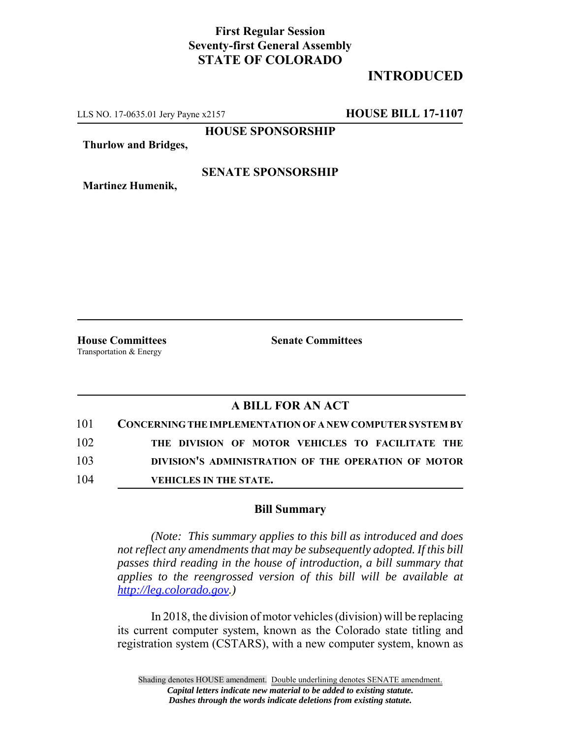### **First Regular Session Seventy-first General Assembly STATE OF COLORADO**

## **INTRODUCED**

LLS NO. 17-0635.01 Jery Payne x2157 **HOUSE BILL 17-1107**

**HOUSE SPONSORSHIP**

**Thurlow and Bridges,**

#### **SENATE SPONSORSHIP**

**Martinez Humenik,**

**House Committees Senate Committees** Transportation & Energy

### **A BILL FOR AN ACT**

| 101 | <b>CONCERNING THE IMPLEMENTATION OF A NEW COMPUTER SYSTEM BY</b> |
|-----|------------------------------------------------------------------|
| 102 | THE DIVISION OF MOTOR VEHICLES TO FACILITATE THE                 |
| 103 | DIVISION'S ADMINISTRATION OF THE OPERATION OF MOTOR              |
| 104 | <b>VEHICLES IN THE STATE.</b>                                    |

#### **Bill Summary**

*(Note: This summary applies to this bill as introduced and does not reflect any amendments that may be subsequently adopted. If this bill passes third reading in the house of introduction, a bill summary that applies to the reengrossed version of this bill will be available at http://leg.colorado.gov.)*

In 2018, the division of motor vehicles (division) will be replacing its current computer system, known as the Colorado state titling and registration system (CSTARS), with a new computer system, known as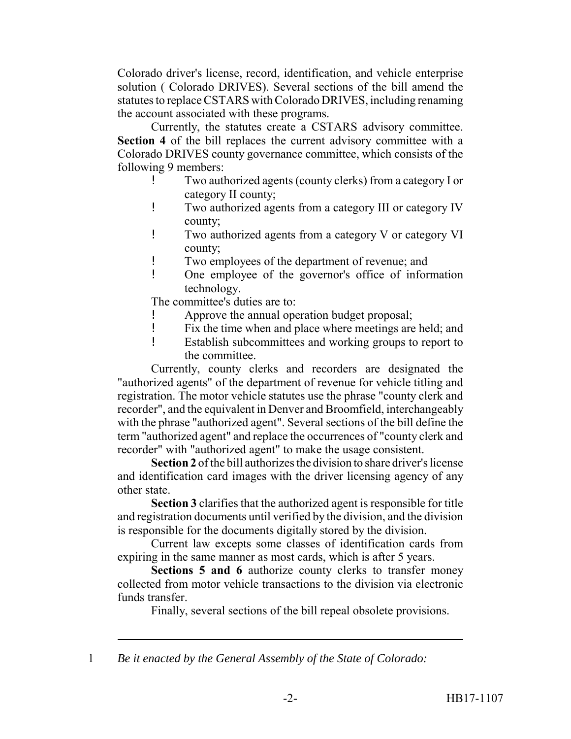Colorado driver's license, record, identification, and vehicle enterprise solution ( Colorado DRIVES). Several sections of the bill amend the statutes to replace CSTARS with Colorado DRIVES, including renaming the account associated with these programs.

Currently, the statutes create a CSTARS advisory committee. **Section 4** of the bill replaces the current advisory committee with a Colorado DRIVES county governance committee, which consists of the following 9 members:

- ! Two authorized agents (county clerks) from a category I or category II county;
- ! Two authorized agents from a category III or category IV county;
- ! Two authorized agents from a category V or category VI county;
- ! Two employees of the department of revenue; and
- ! One employee of the governor's office of information technology.

The committee's duties are to:

- Approve the annual operation budget proposal;
- ! Fix the time when and place where meetings are held; and
- ! Establish subcommittees and working groups to report to the committee.

Currently, county clerks and recorders are designated the "authorized agents" of the department of revenue for vehicle titling and registration. The motor vehicle statutes use the phrase "county clerk and recorder", and the equivalent in Denver and Broomfield, interchangeably with the phrase "authorized agent". Several sections of the bill define the term "authorized agent" and replace the occurrences of "county clerk and recorder" with "authorized agent" to make the usage consistent.

**Section 2** of the bill authorizes the division to share driver's license and identification card images with the driver licensing agency of any other state.

**Section 3** clarifies that the authorized agent is responsible for title and registration documents until verified by the division, and the division is responsible for the documents digitally stored by the division.

Current law excepts some classes of identification cards from expiring in the same manner as most cards, which is after 5 years.

**Sections 5 and 6** authorize county clerks to transfer money collected from motor vehicle transactions to the division via electronic funds transfer.

Finally, several sections of the bill repeal obsolete provisions.

1 *Be it enacted by the General Assembly of the State of Colorado:*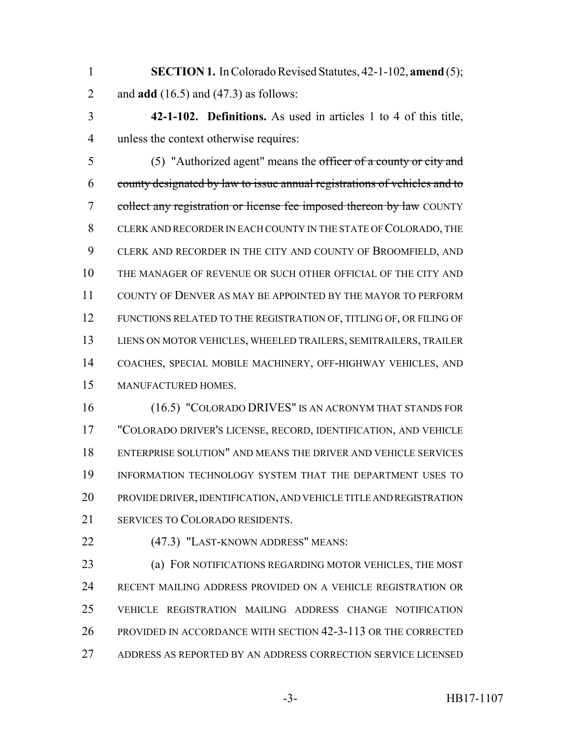- **SECTION 1.** In Colorado Revised Statutes, 42-1-102, **amend** (5); and **add** (16.5) and (47.3) as follows:
- **42-1-102. Definitions.** As used in articles 1 to 4 of this title, unless the context otherwise requires:

 (5) "Authorized agent" means the officer of a county or city and county designated by law to issue annual registrations of vehicles and to 7 collect any registration or license fee imposed thereon by law COUNTY CLERK AND RECORDER IN EACH COUNTY IN THE STATE OF COLORADO, THE CLERK AND RECORDER IN THE CITY AND COUNTY OF BROOMFIELD, AND THE MANAGER OF REVENUE OR SUCH OTHER OFFICIAL OF THE CITY AND COUNTY OF DENVER AS MAY BE APPOINTED BY THE MAYOR TO PERFORM FUNCTIONS RELATED TO THE REGISTRATION OF, TITLING OF, OR FILING OF LIENS ON MOTOR VEHICLES, WHEELED TRAILERS, SEMITRAILERS, TRAILER COACHES, SPECIAL MOBILE MACHINERY, OFF-HIGHWAY VEHICLES, AND MANUFACTURED HOMES.

 (16.5) "COLORADO DRIVES" IS AN ACRONYM THAT STANDS FOR "COLORADO DRIVER'S LICENSE, RECORD, IDENTIFICATION, AND VEHICLE ENTERPRISE SOLUTION" AND MEANS THE DRIVER AND VEHICLE SERVICES INFORMATION TECHNOLOGY SYSTEM THAT THE DEPARTMENT USES TO PROVIDE DRIVER, IDENTIFICATION, AND VEHICLE TITLE AND REGISTRATION SERVICES TO COLORADO RESIDENTS.

22 (47.3) "LAST-KNOWN ADDRESS" MEANS:

 (a) FOR NOTIFICATIONS REGARDING MOTOR VEHICLES, THE MOST RECENT MAILING ADDRESS PROVIDED ON A VEHICLE REGISTRATION OR VEHICLE REGISTRATION MAILING ADDRESS CHANGE NOTIFICATION PROVIDED IN ACCORDANCE WITH SECTION 42-3-113 OR THE CORRECTED ADDRESS AS REPORTED BY AN ADDRESS CORRECTION SERVICE LICENSED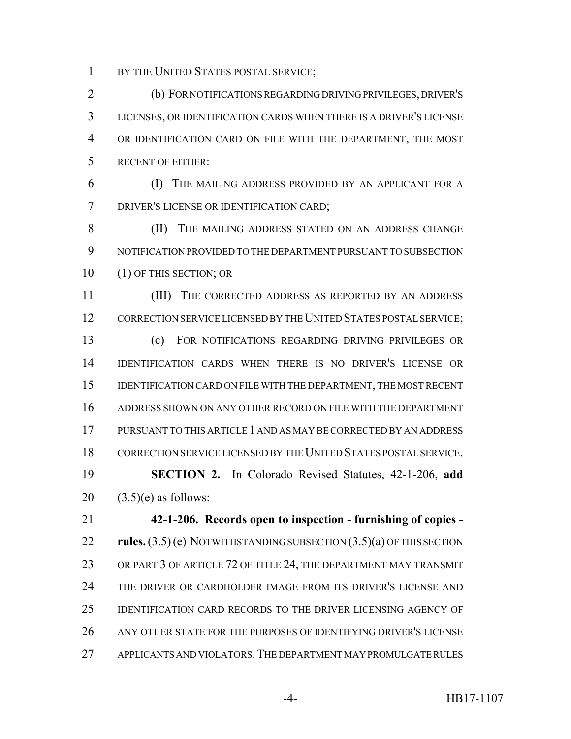1 BY THE UNITED STATES POSTAL SERVICE;

 (b) FOR NOTIFICATIONS REGARDING DRIVING PRIVILEGES, DRIVER'S LICENSES, OR IDENTIFICATION CARDS WHEN THERE IS A DRIVER'S LICENSE OR IDENTIFICATION CARD ON FILE WITH THE DEPARTMENT, THE MOST RECENT OF EITHER:

 (I) THE MAILING ADDRESS PROVIDED BY AN APPLICANT FOR A DRIVER'S LICENSE OR IDENTIFICATION CARD;

 (II) THE MAILING ADDRESS STATED ON AN ADDRESS CHANGE NOTIFICATION PROVIDED TO THE DEPARTMENT PURSUANT TO SUBSECTION (1) OF THIS SECTION; OR

 (III) THE CORRECTED ADDRESS AS REPORTED BY AN ADDRESS 12 CORRECTION SERVICE LICENSED BY THE UNITED STATES POSTAL SERVICE; (c) FOR NOTIFICATIONS REGARDING DRIVING PRIVILEGES OR IDENTIFICATION CARDS WHEN THERE IS NO DRIVER'S LICENSE OR IDENTIFICATION CARD ON FILE WITH THE DEPARTMENT, THE MOST RECENT ADDRESS SHOWN ON ANY OTHER RECORD ON FILE WITH THE DEPARTMENT PURSUANT TO THIS ARTICLE 1 AND AS MAY BE CORRECTED BY AN ADDRESS CORRECTION SERVICE LICENSED BY THE UNITED STATES POSTAL SERVICE. **SECTION 2.** In Colorado Revised Statutes, 42-1-206, **add**

20  $(3.5)(e)$  as follows:

 **42-1-206. Records open to inspection - furnishing of copies - rules.** (3.5) (e) NOTWITHSTANDING SUBSECTION (3.5)(a) OF THIS SECTION 23 OR PART 3 OF ARTICLE 72 OF TITLE 24, THE DEPARTMENT MAY TRANSMIT THE DRIVER OR CARDHOLDER IMAGE FROM ITS DRIVER'S LICENSE AND IDENTIFICATION CARD RECORDS TO THE DRIVER LICENSING AGENCY OF ANY OTHER STATE FOR THE PURPOSES OF IDENTIFYING DRIVER'S LICENSE APPLICANTS AND VIOLATORS.THE DEPARTMENT MAY PROMULGATE RULES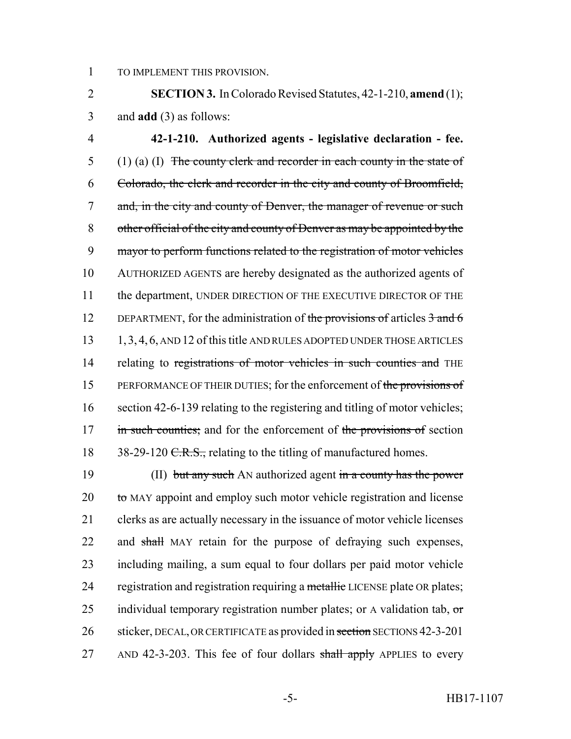1 TO IMPLEMENT THIS PROVISION.

2 **SECTION 3.** In Colorado Revised Statutes, 42-1-210, **amend** (1); 3 and **add** (3) as follows:

4 **42-1-210. Authorized agents - legislative declaration - fee.** 5 (1) (a) (I) The county clerk and recorder in each county in the state of 6 Colorado, the clerk and recorder in the city and county of Broomfield, 7 and, in the city and county of Denver, the manager of revenue or such 8 other official of the city and county of Denver as may be appointed by the 9 mayor to perform functions related to the registration of motor vehicles 10 AUTHORIZED AGENTS are hereby designated as the authorized agents of 11 the department, UNDER DIRECTION OF THE EXECUTIVE DIRECTOR OF THE 12 DEPARTMENT, for the administration of the provisions of articles  $3$  and  $6$ 13 1, 3, 4, 6, AND 12 of this title AND RULES ADOPTED UNDER THOSE ARTICLES 14 relating to registrations of motor vehicles in such counties and THE 15 PERFORMANCE OF THEIR DUTIES; for the enforcement of the provisions of 16 section 42-6-139 relating to the registering and titling of motor vehicles; 17 in such counties; and for the enforcement of the provisions of section 18 38-29-120 C.R.S., relating to the titling of manufactured homes.

19 (II) but any such AN authorized agent in a county has the power  $20$  to MAY appoint and employ such motor vehicle registration and license 21 clerks as are actually necessary in the issuance of motor vehicle licenses 22 and shall MAY retain for the purpose of defraying such expenses, 23 including mailing, a sum equal to four dollars per paid motor vehicle 24 registration and registration requiring a metallic LICENSE plate OR plates; 25 individual temporary registration number plates; or A validation tab,  $\sigma$ 26 sticker, DECAL, OR CERTIFICATE as provided in section SECTIONS 42-3-201 27 AND 42-3-203. This fee of four dollars shall apply APPLIES to every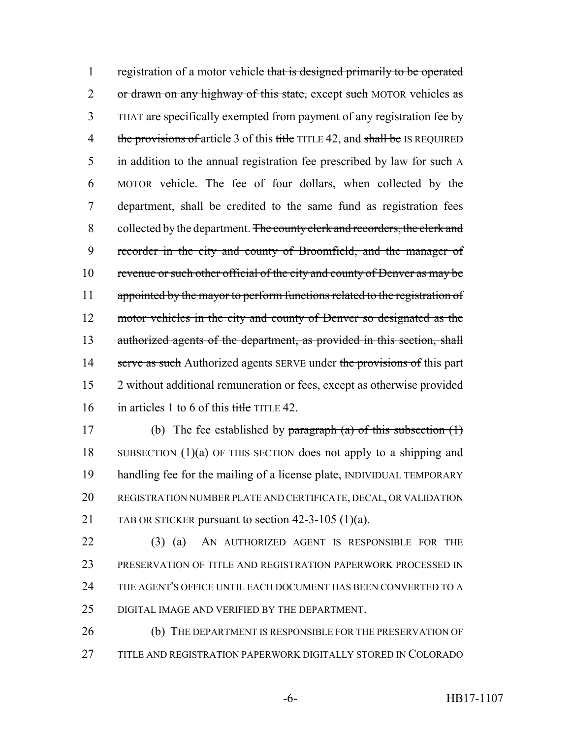1 registration of a motor vehicle that is designed primarily to be operated 2 or drawn on any highway of this state, except such MOTOR vehicles as 3 THAT are specifically exempted from payment of any registration fee by 4 the provisions of article 3 of this title TITLE 42, and shall be IS REQUIRED 5 in addition to the annual registration fee prescribed by law for such A 6 MOTOR vehicle. The fee of four dollars, when collected by the 7 department, shall be credited to the same fund as registration fees 8 collected by the department. The county clerk and recorders, the clerk and 9 recorder in the city and county of Broomfield, and the manager of 10 revenue or such other official of the city and county of Denver as may be 11 appointed by the mayor to perform functions related to the registration of 12 motor vehicles in the city and county of Denver so designated as the 13 authorized agents of the department, as provided in this section, shall 14 serve as such Authorized agents SERVE under the provisions of this part 15 2 without additional remuneration or fees, except as otherwise provided 16 in articles 1 to 6 of this title TITLE 42.

17 (b) The fee established by paragraph  $(a)$  of this subsection  $(1)$  SUBSECTION (1)(a) OF THIS SECTION does not apply to a shipping and handling fee for the mailing of a license plate, INDIVIDUAL TEMPORARY REGISTRATION NUMBER PLATE AND CERTIFICATE, DECAL, OR VALIDATION TAB OR STICKER pursuant to section 42-3-105 (1)(a).

 (3) (a) AN AUTHORIZED AGENT IS RESPONSIBLE FOR THE PRESERVATION OF TITLE AND REGISTRATION PAPERWORK PROCESSED IN THE AGENT'S OFFICE UNTIL EACH DOCUMENT HAS BEEN CONVERTED TO A DIGITAL IMAGE AND VERIFIED BY THE DEPARTMENT.

26 (b) THE DEPARTMENT IS RESPONSIBLE FOR THE PRESERVATION OF 27 TITLE AND REGISTRATION PAPERWORK DIGITALLY STORED IN COLORADO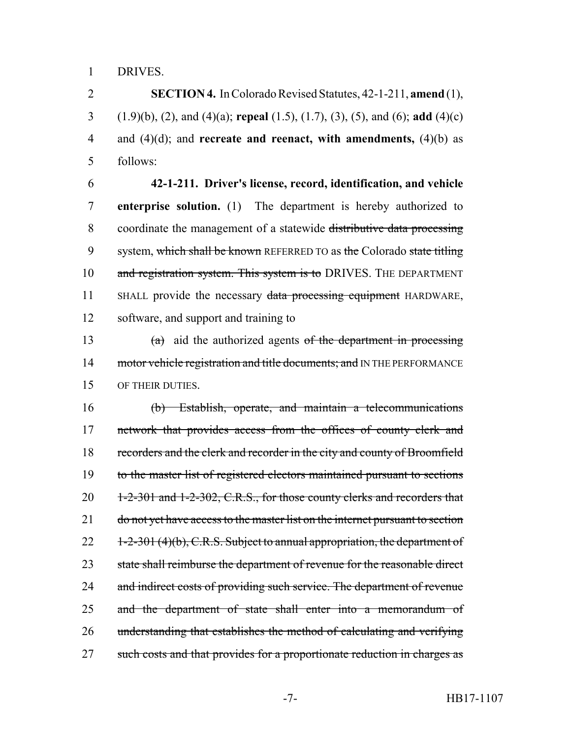1 DRIVES.

 **SECTION 4.** In Colorado Revised Statutes, 42-1-211, **amend** (1), (1.9)(b), (2), and (4)(a); **repeal** (1.5), (1.7), (3), (5), and (6); **add** (4)(c) and (4)(d); and **recreate and reenact, with amendments,** (4)(b) as 5 follows:

6 **42-1-211. Driver's license, record, identification, and vehicle** 7 **enterprise solution.** (1) The department is hereby authorized to 8 coordinate the management of a statewide distributive data processing 9 system, which shall be known REFERRED TO as the Colorado state titling 10 and registration system. This system is to DRIVES. THE DEPARTMENT 11 SHALL provide the necessary data processing equipment HARDWARE, 12 software, and support and training to

13 (a) aid the authorized agents of the department in processing 14 motor vehicle registration and title documents; and IN THE PERFORMANCE 15 OF THEIR DUTIES.

16 (b) Establish, operate, and maintain a telecommunications 17 network that provides access from the offices of county clerk and 18 recorders and the clerk and recorder in the city and county of Broomfield 19 to the master list of registered electors maintained pursuant to sections 20 1-2-301 and 1-2-302, C.R.S., for those county clerks and recorders that 21 do not yet have access to the master list on the internet pursuant to section 22 1-2-301 (4)(b), C.R.S. Subject to annual appropriation, the department of 23 state shall reimburse the department of revenue for the reasonable direct 24 and indirect costs of providing such service. The department of revenue 25 and the department of state shall enter into a memorandum of 26 understanding that establishes the method of calculating and verifying 27 such costs and that provides for a proportionate reduction in charges as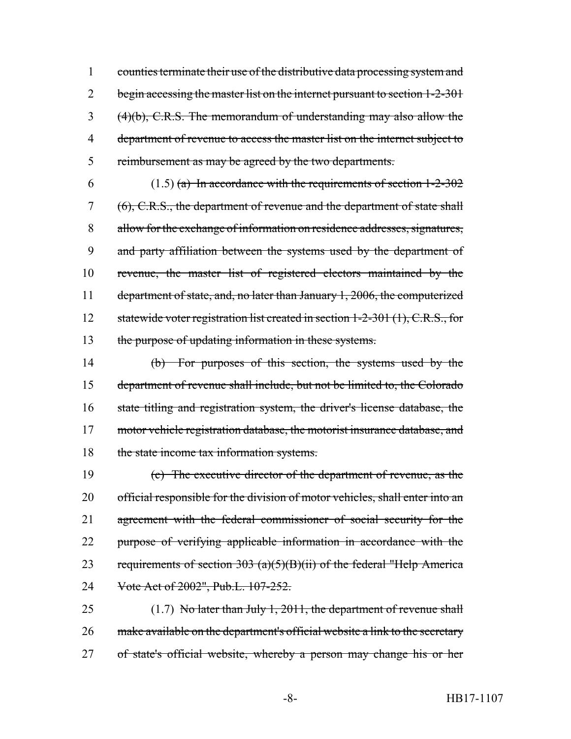1 counties terminate their use of the distributive data processing system and 2 begin accessing the master list on the internet pursuant to section 1-2-301 3 (4)(b), C.R.S. The memorandum of understanding may also allow the 4 department of revenue to access the master list on the internet subject to 5 reimbursement as may be agreed by the two departments.

6 (1.5) (a) In accordance with the requirements of section  $1-2-302$ 7 (6), C.R.S., the department of revenue and the department of state shall allow for the exchange of information on residence addresses, signatures, and party affiliation between the systems used by the department of revenue, the master list of registered electors maintained by the department of state, and, no later than January 1, 2006, the computerized 12 statewide voter registration list created in section 1-2-301 (1), C.R.S., for the purpose of updating information in these systems.

14 (b) For purposes of this section, the systems used by the 15 department of revenue shall include, but not be limited to, the Colorado 16 state titling and registration system, the driver's license database, the 17 motor vehicle registration database, the motorist insurance database, and 18 the state income tax information systems.

19 (c) The executive director of the department of revenue, as the 20 official responsible for the division of motor vehicles, shall enter into an 21 agreement with the federal commissioner of social security for the 22 purpose of verifying applicable information in accordance with the 23 requirements of section  $303 \text{ (a)}(5)(B)(ii)$  of the federal "Help America 24 Vote Act of 2002", Pub.L. 107-252.

25 (1.7) No later than July 1, 2011, the department of revenue shall 26 make available on the department's official website a link to the secretary 27 of state's official website, whereby a person may change his or her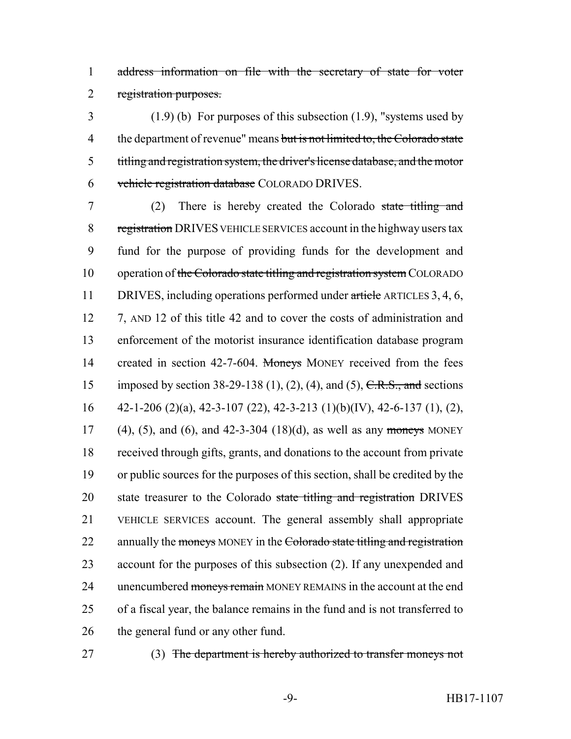1 address information on file with the secretary of state for voter 2 registration purposes.

 (1.9) (b) For purposes of this subsection (1.9), "systems used by 4 the department of revenue" means but is not limited to, the Colorado state titling and registration system, the driver's license database, and the motor vehicle registration database COLORADO DRIVES.

7 (2) There is hereby created the Colorado state titling and 8 registration DRIVES VEHICLE SERVICES account in the highway users tax 9 fund for the purpose of providing funds for the development and 10 operation of the Colorado state titling and registration system COLORADO 11 DRIVES, including operations performed under article ARTICLES 3, 4, 6, 12 7, AND 12 of this title 42 and to cover the costs of administration and 13 enforcement of the motorist insurance identification database program 14 created in section 42-7-604. Moneys MONEY received from the fees 15 imposed by section 38-29-138 (1), (2), (4), and (5),  $C.R.S.,$  and sections 16  $42-1-206$  (2)(a), 42-3-107 (22), 42-3-213 (1)(b)(IV), 42-6-137 (1), (2), 17 (4), (5), and (6), and 42-3-304 (18)(d), as well as any moneys MONEY 18 received through gifts, grants, and donations to the account from private 19 or public sources for the purposes of this section, shall be credited by the 20 state treasurer to the Colorado state titling and registration DRIVES 21 VEHICLE SERVICES account. The general assembly shall appropriate 22 annually the moneys MONEY in the Colorado state titling and registration 23 account for the purposes of this subsection (2). If any unexpended and 24 unencumbered moneys remain MONEY REMAINS in the account at the end 25 of a fiscal year, the balance remains in the fund and is not transferred to 26 the general fund or any other fund.

27 (3) The department is hereby authorized to transfer moneys not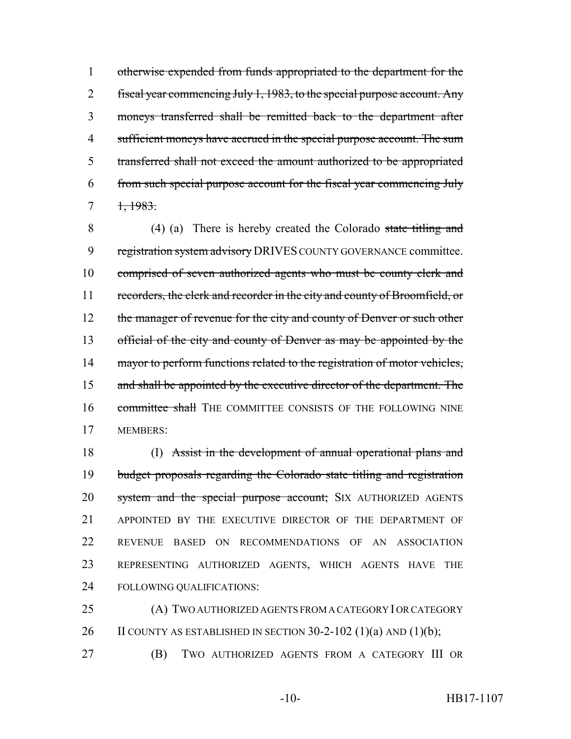otherwise expended from funds appropriated to the department for the fiscal year commencing July 1, 1983, to the special purpose account. Any moneys transferred shall be remitted back to the department after sufficient moneys have accrued in the special purpose account. The sum transferred shall not exceed the amount authorized to be appropriated from such special purpose account for the fiscal year commencing July  $7 \frac{1,1983}{.}$ 

8 (4) (a) There is hereby created the Colorado state titling and 9 registration system advisory DRIVES COUNTY GOVERNANCE committee. 10 comprised of seven authorized agents who must be county clerk and 11 recorders, the clerk and recorder in the city and county of Broomfield, or 12 the manager of revenue for the city and county of Denver or such other 13 official of the city and county of Denver as may be appointed by the 14 mayor to perform functions related to the registration of motor vehicles, 15 and shall be appointed by the executive director of the department. The 16 committee shall THE COMMITTEE CONSISTS OF THE FOLLOWING NINE 17 MEMBERS:

18 (I) Assist in the development of annual operational plans and budget proposals regarding the Colorado state titling and registration 20 system and the special purpose account; SIX AUTHORIZED AGENTS APPOINTED BY THE EXECUTIVE DIRECTOR OF THE DEPARTMENT OF REVENUE BASED ON RECOMMENDATIONS OF AN ASSOCIATION REPRESENTING AUTHORIZED AGENTS, WHICH AGENTS HAVE THE FOLLOWING QUALIFICATIONS:

25 (A) TWO AUTHORIZED AGENTS FROM A CATEGORY I OR CATEGORY 26 II COUNTY AS ESTABLISHED IN SECTION  $30-2-102$  (1)(a) AND (1)(b);

27 (B) TWO AUTHORIZED AGENTS FROM A CATEGORY III OR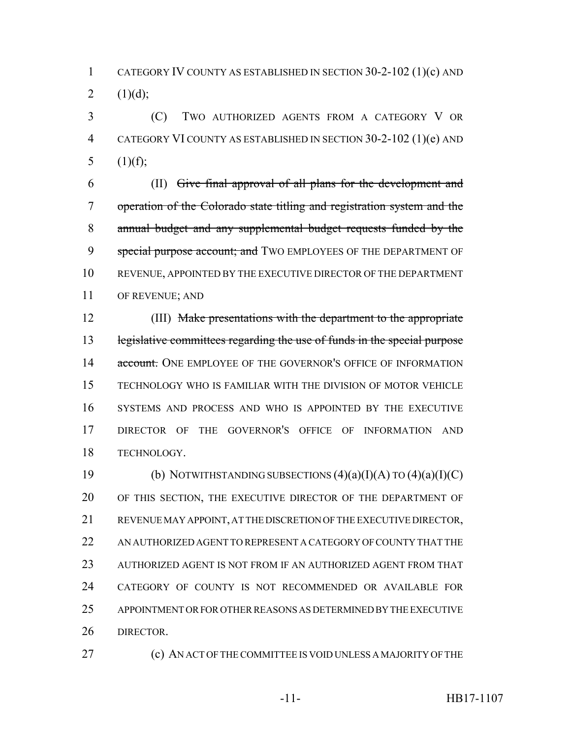CATEGORY IV COUNTY AS ESTABLISHED IN SECTION 30-2-102 (1)(c) AND 2  $(1)(d)$ ;

 (C) TWO AUTHORIZED AGENTS FROM A CATEGORY V OR CATEGORY VI COUNTY AS ESTABLISHED IN SECTION 30-2-102 (1)(e) AND 5  $(1)(f)$ ;

 (II) Give final approval of all plans for the development and operation of the Colorado state titling and registration system and the annual budget and any supplemental budget requests funded by the 9 special purpose account; and TWO EMPLOYEES OF THE DEPARTMENT OF REVENUE, APPOINTED BY THE EXECUTIVE DIRECTOR OF THE DEPARTMENT OF REVENUE; AND

 (III) Make presentations with the department to the appropriate legislative committees regarding the use of funds in the special purpose 14 account. ONE EMPLOYEE OF THE GOVERNOR'S OFFICE OF INFORMATION TECHNOLOGY WHO IS FAMILIAR WITH THE DIVISION OF MOTOR VEHICLE SYSTEMS AND PROCESS AND WHO IS APPOINTED BY THE EXECUTIVE DIRECTOR OF THE GOVERNOR'S OFFICE OF INFORMATION AND TECHNOLOGY.

19 (b) NOTWITHSTANDING SUBSECTIONS  $(4)(a)(I)(A)$  TO  $(4)(a)(I)(C)$  OF THIS SECTION, THE EXECUTIVE DIRECTOR OF THE DEPARTMENT OF REVENUE MAY APPOINT, AT THE DISCRETION OF THE EXECUTIVE DIRECTOR, 22 AN AUTHORIZED AGENT TO REPRESENT A CATEGORY OF COUNTY THAT THE AUTHORIZED AGENT IS NOT FROM IF AN AUTHORIZED AGENT FROM THAT CATEGORY OF COUNTY IS NOT RECOMMENDED OR AVAILABLE FOR APPOINTMENT OR FOR OTHER REASONS AS DETERMINED BY THE EXECUTIVE DIRECTOR.

(c) AN ACT OF THE COMMITTEE IS VOID UNLESS A MAJORITY OF THE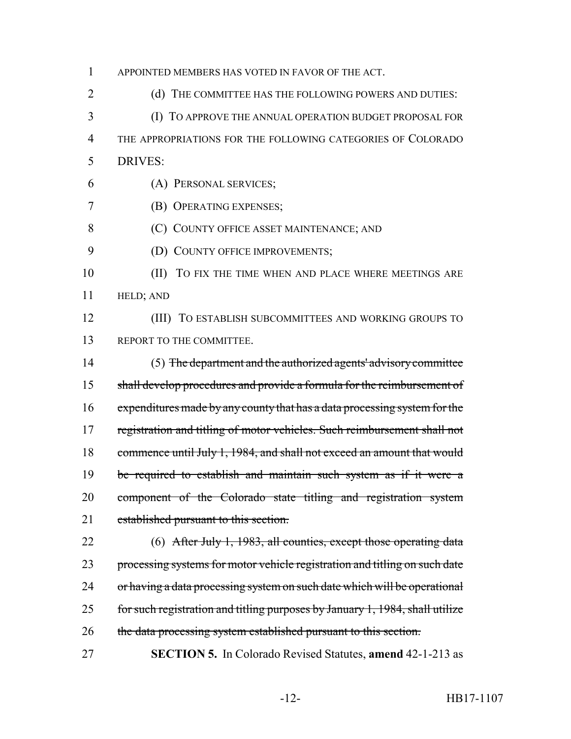APPOINTED MEMBERS HAS VOTED IN FAVOR OF THE ACT. 2 (d) THE COMMITTEE HAS THE FOLLOWING POWERS AND DUTIES: (I) TO APPROVE THE ANNUAL OPERATION BUDGET PROPOSAL FOR THE APPROPRIATIONS FOR THE FOLLOWING CATEGORIES OF COLORADO DRIVES: (A) PERSONAL SERVICES; (B) OPERATING EXPENSES; (C) COUNTY OFFICE ASSET MAINTENANCE; AND **(D) COUNTY OFFICE IMPROVEMENTS; (II)** TO FIX THE TIME WHEN AND PLACE WHERE MEETINGS ARE HELD; AND (III) TO ESTABLISH SUBCOMMITTEES AND WORKING GROUPS TO 13 REPORT TO THE COMMITTEE. (5) The department and the authorized agents' advisory committee shall develop procedures and provide a formula for the reimbursement of expenditures made by any county that has a data processing system for the registration and titling of motor vehicles. Such reimbursement shall not commence until July 1, 1984, and shall not exceed an amount that would 19 be required to establish and maintain such system as if it were a component of the Colorado state titling and registration system established pursuant to this section. 22 (6) After July 1, 1983, all counties, except those operating data 23 processing systems for motor vehicle registration and titling on such date 24 or having a data processing system on such date which will be operational for such registration and titling purposes by January 1, 1984, shall utilize 26 the data processing system established pursuant to this section. **SECTION 5.** In Colorado Revised Statutes, **amend** 42-1-213 as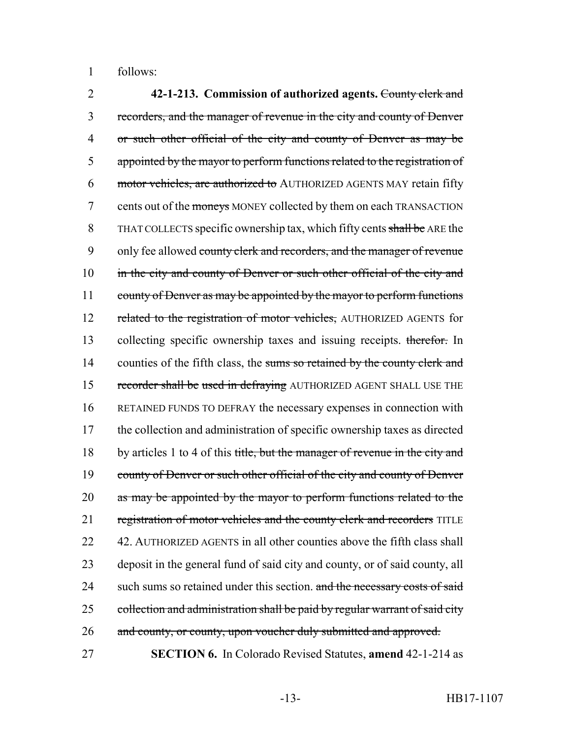1 follows:

2 **42-1-213. Commission of authorized agents.** County clerk and 3 recorders, and the manager of revenue in the city and county of Denver 4 or such other official of the city and county of Denver as may be 5 appointed by the mayor to perform functions related to the registration of 6 motor vehicles, are authorized to AUTHORIZED AGENTS MAY retain fifty 7 cents out of the moneys MONEY collected by them on each TRANSACTION 8 THAT COLLECTS specific ownership tax, which fifty cents shall be ARE the 9 only fee allowed county clerk and recorders, and the manager of revenue 10 in the city and county of Denver or such other official of the city and 11 county of Denver as may be appointed by the mayor to perform functions 12 related to the registration of motor vehicles, AUTHORIZED AGENTS for 13 collecting specific ownership taxes and issuing receipts. therefor. In 14 counties of the fifth class, the sums so retained by the county clerk and 15 recorder shall be used in defraying AUTHORIZED AGENT SHALL USE THE 16 RETAINED FUNDS TO DEFRAY the necessary expenses in connection with 17 the collection and administration of specific ownership taxes as directed 18 by articles 1 to 4 of this title, but the manager of revenue in the city and 19 county of Denver or such other official of the city and county of Denver 20 as may be appointed by the mayor to perform functions related to the 21 registration of motor vehicles and the county clerk and recorders TITLE 22 42. AUTHORIZED AGENTS in all other counties above the fifth class shall 23 deposit in the general fund of said city and county, or of said county, all 24 such sums so retained under this section. and the necessary costs of said 25 collection and administration shall be paid by regular warrant of said city 26 and county, or county, upon voucher duly submitted and approved. 27 **SECTION 6.** In Colorado Revised Statutes, **amend** 42-1-214 as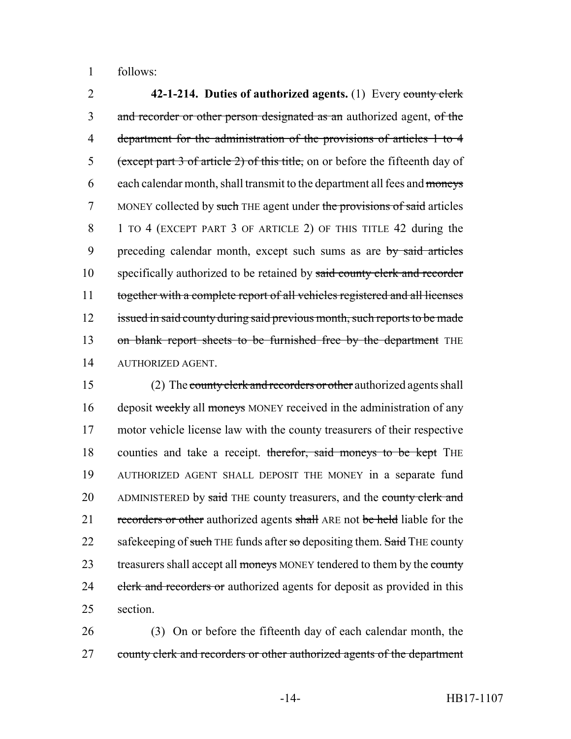1 follows:

2 **42-1-214. Duties of authorized agents.** (1) Every county clerk 3 and recorder or other person designated as an authorized agent, of the 4 department for the administration of the provisions of articles 1 to 4 5 (except part 3 of article 2) of this title, on or before the fifteenth day of 6 each calendar month, shall transmit to the department all fees and moneys 7 MONEY collected by such THE agent under the provisions of said articles 8 1 TO 4 (EXCEPT PART 3 OF ARTICLE 2) OF THIS TITLE 42 during the 9 preceding calendar month, except such sums as are by said articles 10 specifically authorized to be retained by said county clerk and recorder 11 together with a complete report of all vehicles registered and all licenses 12 issued in said county during said previous month, such reports to be made 13 on blank report sheets to be furnished free by the department THE 14 AUTHORIZED AGENT.

15 (2) The county clerk and recorders or other authorized agents shall 16 deposit weekly all moneys MONEY received in the administration of any 17 motor vehicle license law with the county treasurers of their respective 18 counties and take a receipt. therefor, said moneys to be kept THE 19 AUTHORIZED AGENT SHALL DEPOSIT THE MONEY in a separate fund 20 ADMINISTERED by said THE county treasurers, and the county clerk and 21 recorders or other authorized agents shall ARE not be held liable for the 22 safekeeping of such THE funds after so depositing them. Said THE county 23 treasurers shall accept all moneys MONEY tendered to them by the county 24 clerk and recorders or authorized agents for deposit as provided in this 25 section.

26 (3) On or before the fifteenth day of each calendar month, the 27 county clerk and recorders or other authorized agents of the department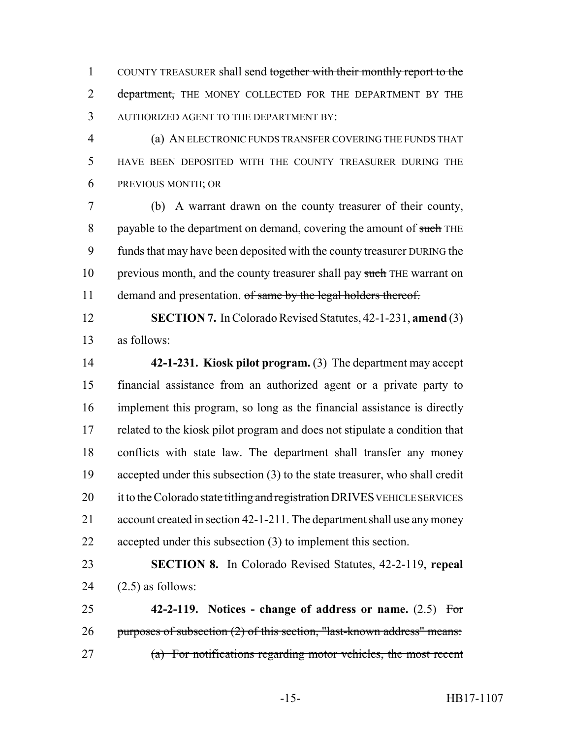COUNTY TREASURER shall send together with their monthly report to the 2 department, THE MONEY COLLECTED FOR THE DEPARTMENT BY THE AUTHORIZED AGENT TO THE DEPARTMENT BY:

 (a) AN ELECTRONIC FUNDS TRANSFER COVERING THE FUNDS THAT HAVE BEEN DEPOSITED WITH THE COUNTY TREASURER DURING THE PREVIOUS MONTH; OR

 (b) A warrant drawn on the county treasurer of their county, 8 payable to the department on demand, covering the amount of such THE funds that may have been deposited with the county treasurer DURING the 10 previous month, and the county treasurer shall pay such THE warrant on 11 demand and presentation. of same by the legal holders thereof.

 **SECTION 7.** In Colorado Revised Statutes, 42-1-231, **amend** (3) as follows:

 **42-1-231. Kiosk pilot program.** (3) The department may accept financial assistance from an authorized agent or a private party to implement this program, so long as the financial assistance is directly related to the kiosk pilot program and does not stipulate a condition that conflicts with state law. The department shall transfer any money accepted under this subsection (3) to the state treasurer, who shall credit 20 it to the Colorado state titling and registration DRIVES VEHICLE SERVICES account created in section 42-1-211. The department shall use any money accepted under this subsection (3) to implement this section.

 **SECTION 8.** In Colorado Revised Statutes, 42-2-119, **repeal** 24  $(2.5)$  as follows:

 **42-2-119. Notices - change of address or name.** (2.5) For 26 purposes of subsection (2) of this section, "last-known address" means: (a) For notifications regarding motor vehicles, the most recent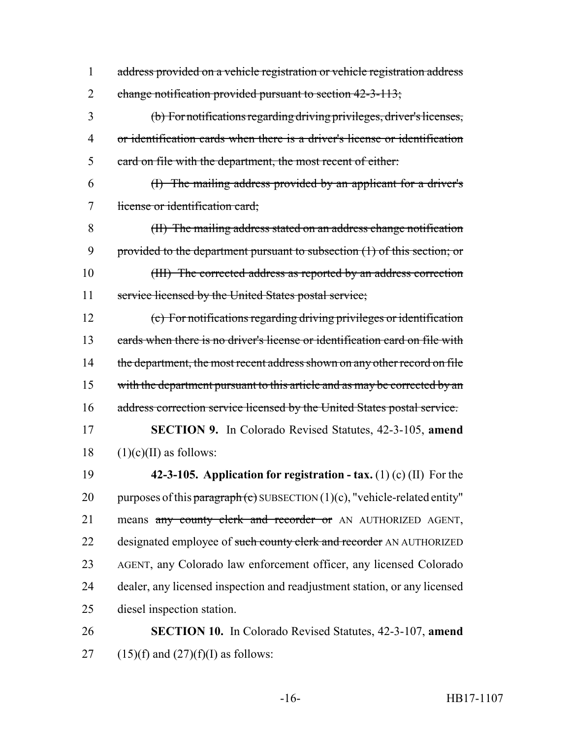address provided on a vehicle registration or vehicle registration address 2 change notification provided pursuant to section 42-3-113;

 (b) For notifications regarding driving privileges, driver's licenses, or identification cards when there is a driver's license or identification card on file with the department, the most recent of either:

 (I) The mailing address provided by an applicant for a driver's license or identification card;

 (II) The mailing address stated on an address change notification 9 provided to the department pursuant to subsection (1) of this section; or (III) The corrected address as reported by an address correction 11 service licensed by the United States postal service;

 (c) For notifications regarding driving privileges or identification cards when there is no driver's license or identification card on file with 14 the department, the most recent address shown on any other record on file 15 with the department pursuant to this article and as may be corrected by an 16 address correction service licensed by the United States postal service.

 **SECTION 9.** In Colorado Revised Statutes, 42-3-105, **amend** (1)(c)(II) as follows:

 **42-3-105. Application for registration - tax.** (1) (c) (II) For the 20 purposes of this paragraph (c) SUBSECTION  $(1)(c)$ , "vehicle-related entity" 21 means any county clerk and recorder or AN AUTHORIZED AGENT, 22 designated employee of such county clerk and recorder AN AUTHORIZED AGENT, any Colorado law enforcement officer, any licensed Colorado dealer, any licensed inspection and readjustment station, or any licensed diesel inspection station.

# **SECTION 10.** In Colorado Revised Statutes, 42-3-107, **amend** 27 (15)(f) and  $(27)(f)(I)$  as follows: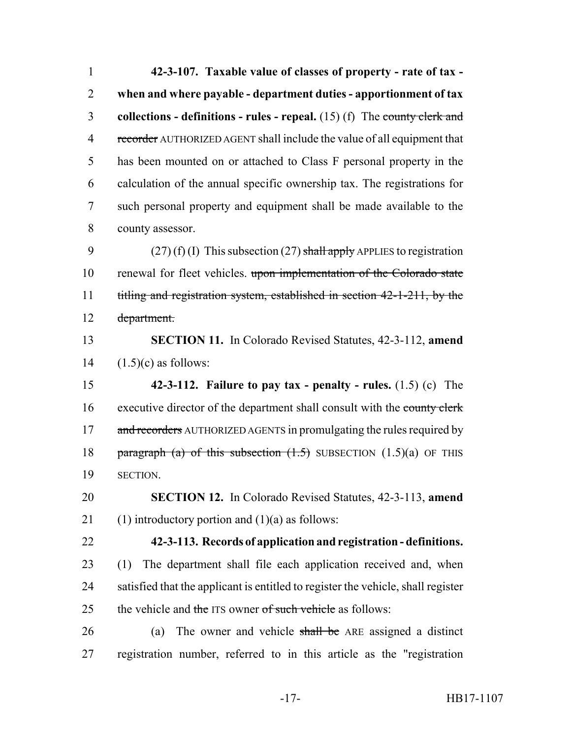**42-3-107. Taxable value of classes of property - rate of tax - when and where payable - department duties - apportionment of tax collections - definitions - rules - repeal.** (15) (f) The county clerk and 4 recorder AUTHORIZED AGENT shall include the value of all equipment that has been mounted on or attached to Class F personal property in the calculation of the annual specific ownership tax. The registrations for such personal property and equipment shall be made available to the county assessor. 9 (27) (f) (I) This subsection (27) shall apply APPLIES to registration renewal for fleet vehicles. upon implementation of the Colorado state

 titling and registration system, established in section 42-1-211, by the department.

 **SECTION 11.** In Colorado Revised Statutes, 42-3-112, **amend** 14  $(1.5)(c)$  as follows:

 **42-3-112. Failure to pay tax - penalty - rules.** (1.5) (c) The 16 executive director of the department shall consult with the county clerk 17 and recorders AUTHORIZED AGENTS in promulgating the rules required by 18 paragraph (a) of this subsection  $(1.5)$  SUBSECTION  $(1.5)(a)$  OF THIS SECTION.

 **SECTION 12.** In Colorado Revised Statutes, 42-3-113, **amend** 21 (1) introductory portion and  $(1)(a)$  as follows:

**42-3-113. Records of application and registration - definitions.**

 (1) The department shall file each application received and, when satisfied that the applicant is entitled to register the vehicle, shall register 25 the vehicle and the ITS owner of such vehicle as follows:

 (a) The owner and vehicle shall be ARE assigned a distinct registration number, referred to in this article as the "registration

-17- HB17-1107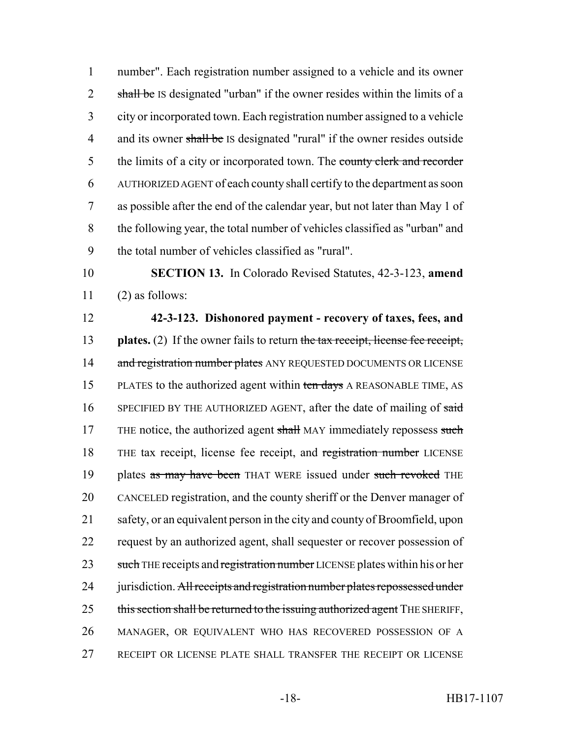number". Each registration number assigned to a vehicle and its owner 2 shall be IS designated "urban" if the owner resides within the limits of a city or incorporated town. Each registration number assigned to a vehicle 4 and its owner shall be IS designated "rural" if the owner resides outside 5 the limits of a city or incorporated town. The county clerk and recorder AUTHORIZED AGENT of each county shall certify to the department as soon as possible after the end of the calendar year, but not later than May 1 of the following year, the total number of vehicles classified as "urban" and the total number of vehicles classified as "rural".

10 **SECTION 13.** In Colorado Revised Statutes, 42-3-123, **amend**  $11$  (2) as follows:

12 **42-3-123. Dishonored payment - recovery of taxes, fees, and** 13 **plates.** (2) If the owner fails to return the tax receipt, license fee receipt, 14 and registration number plates ANY REQUESTED DOCUMENTS OR LICENSE 15 PLATES to the authorized agent within ten days A REASONABLE TIME, AS 16 SPECIFIED BY THE AUTHORIZED AGENT, after the date of mailing of said 17 THE notice, the authorized agent shall MAY immediately repossess such 18 THE tax receipt, license fee receipt, and registration number LICENSE 19 plates as may have been THAT WERE issued under such revoked THE 20 CANCELED registration, and the county sheriff or the Denver manager of 21 safety, or an equivalent person in the city and county of Broomfield, upon 22 request by an authorized agent, shall sequester or recover possession of 23 such THE receipts and registration number LICENSE plates within his or her 24 jurisdiction. All receipts and registration number plates repossessed under 25 this section shall be returned to the issuing authorized agent THE SHERIFF, 26 MANAGER, OR EQUIVALENT WHO HAS RECOVERED POSSESSION OF A 27 RECEIPT OR LICENSE PLATE SHALL TRANSFER THE RECEIPT OR LICENSE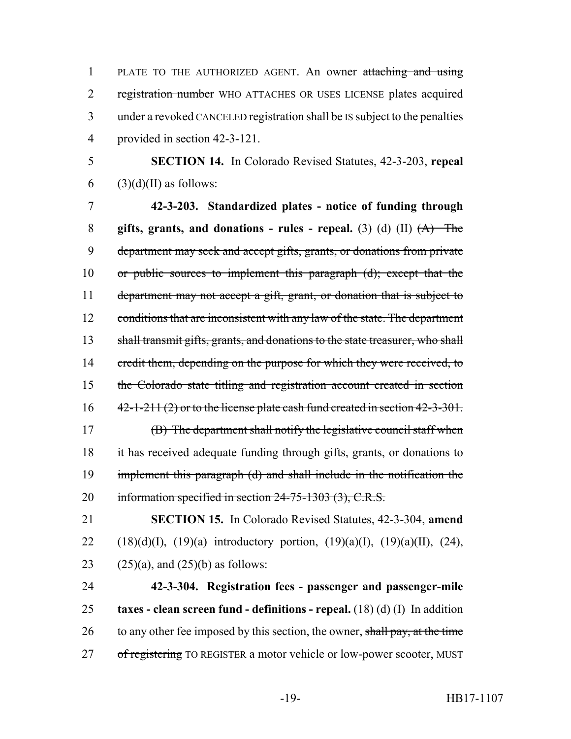PLATE TO THE AUTHORIZED AGENT. An owner attaching and using registration number WHO ATTACHES OR USES LICENSE plates acquired 3 under a revoked CANCELED registration shall be IS subject to the penalties provided in section 42-3-121.

5 **SECTION 14.** In Colorado Revised Statutes, 42-3-203, **repeal** 6 (3)(d)(II) as follows:

7 **42-3-203. Standardized plates - notice of funding through** 8 **gifts, grants, and donations - rules - repeal.** (3) (d) (II) (A) The 9 department may seek and accept gifts, grants, or donations from private 10 or public sources to implement this paragraph (d); except that the 11 department may not accept a gift, grant, or donation that is subject to 12 conditions that are inconsistent with any law of the state. The department 13 shall transmit gifts, grants, and donations to the state treasurer, who shall 14 credit them, depending on the purpose for which they were received, to 15 the Colorado state titling and registration account created in section  $16 \qquad 42-1-211(2)$  or to the license plate cash fund created in section  $42-3-301$ . 17 (B) The department shall notify the legislative council staff when 18 it has received adequate funding through gifts, grants, or donations to 19 implement this paragraph (d) and shall include in the notification the 20 information specified in section 24-75-1303 (3), C.R.S.

21 **SECTION 15.** In Colorado Revised Statutes, 42-3-304, **amend** 22 (18)(d)(I), (19)(a) introductory portion, (19)(a)(I), (19)(a)(II), (24), 23  $(25)(a)$ , and  $(25)(b)$  as follows:

24 **42-3-304. Registration fees - passenger and passenger-mile** 25 **taxes - clean screen fund - definitions - repeal.** (18) (d) (I) In addition 26 to any other fee imposed by this section, the owner, shall pay, at the time 27 of registering TO REGISTER a motor vehicle or low-power scooter, MUST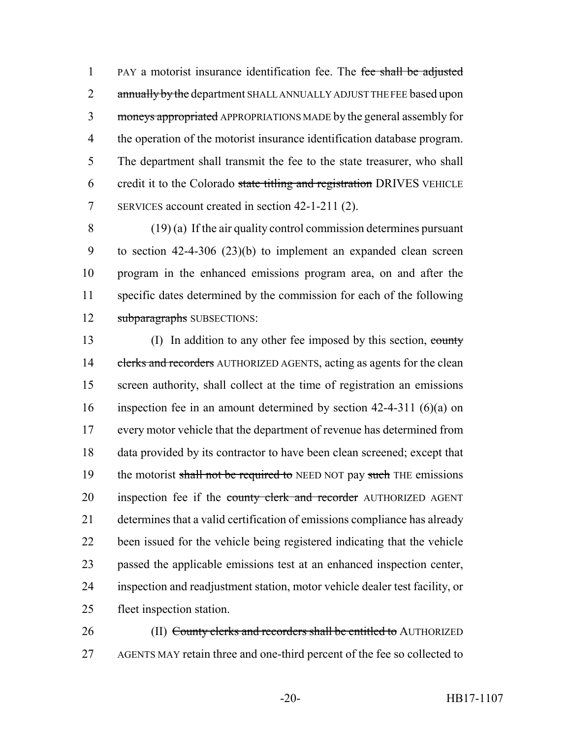1 PAY a motorist insurance identification fee. The fee shall be adjusted 2 annually by the department SHALL ANNUALLY ADJUST THE FEE based upon moneys appropriated APPROPRIATIONS MADE by the general assembly for the operation of the motorist insurance identification database program. The department shall transmit the fee to the state treasurer, who shall 6 credit it to the Colorado state titling and registration DRIVES VEHICLE SERVICES account created in section 42-1-211 (2).

 (19) (a) If the air quality control commission determines pursuant to section 42-4-306 (23)(b) to implement an expanded clean screen program in the enhanced emissions program area, on and after the specific dates determined by the commission for each of the following 12 subparagraphs SUBSECTIONS:

13 (I) In addition to any other fee imposed by this section, county 14 clerks and recorders AUTHORIZED AGENTS, acting as agents for the clean screen authority, shall collect at the time of registration an emissions inspection fee in an amount determined by section 42-4-311 (6)(a) on every motor vehicle that the department of revenue has determined from data provided by its contractor to have been clean screened; except that 19 the motorist shall not be required to NEED NOT pay such THE emissions 20 inspection fee if the county clerk and recorder AUTHORIZED AGENT determines that a valid certification of emissions compliance has already been issued for the vehicle being registered indicating that the vehicle passed the applicable emissions test at an enhanced inspection center, inspection and readjustment station, motor vehicle dealer test facility, or fleet inspection station.

26 (II) County clerks and recorders shall be entitled to AUTHORIZED AGENTS MAY retain three and one-third percent of the fee so collected to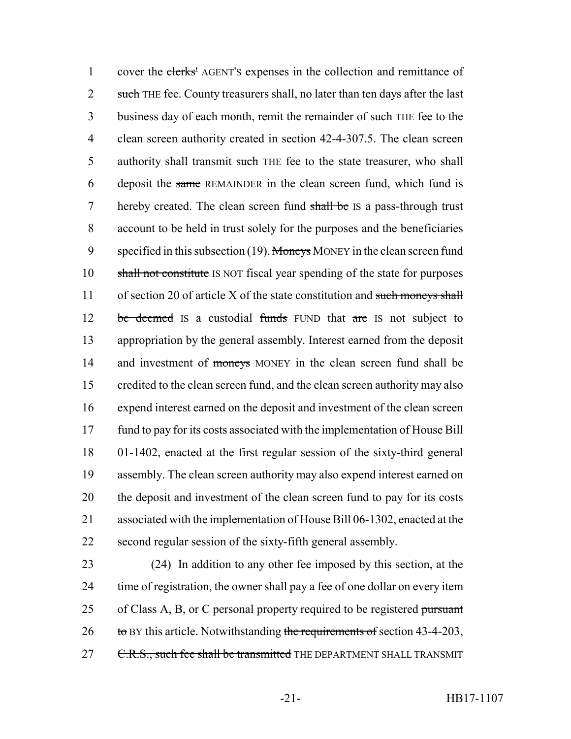1 cover the elerks' AGENT's expenses in the collection and remittance of 2 such THE fee. County treasurers shall, no later than ten days after the last 3 business day of each month, remit the remainder of such THE fee to the 4 clean screen authority created in section 42-4-307.5. The clean screen 5 authority shall transmit such THE fee to the state treasurer, who shall 6 deposit the same REMAINDER in the clean screen fund, which fund is 7 hereby created. The clean screen fund shall be IS a pass-through trust 8 account to be held in trust solely for the purposes and the beneficiaries 9 specified in this subsection (19). Moneys MONEY in the clean screen fund 10 shall not constitute IS NOT fiscal year spending of the state for purposes 11 of section 20 of article X of the state constitution and such moneys shall 12 be deemed IS a custodial funds FUND that are IS not subject to 13 appropriation by the general assembly. Interest earned from the deposit 14 and investment of moneys MONEY in the clean screen fund shall be 15 credited to the clean screen fund, and the clean screen authority may also 16 expend interest earned on the deposit and investment of the clean screen 17 fund to pay for its costs associated with the implementation of House Bill 18 01-1402, enacted at the first regular session of the sixty-third general 19 assembly. The clean screen authority may also expend interest earned on 20 the deposit and investment of the clean screen fund to pay for its costs 21 associated with the implementation of House Bill 06-1302, enacted at the 22 second regular session of the sixty-fifth general assembly.

23 (24) In addition to any other fee imposed by this section, at the 24 time of registration, the owner shall pay a fee of one dollar on every item 25 of Class A, B, or C personal property required to be registered pursuant  $26$  to BY this article. Notwithstanding the requirements of section 43-4-203, 27 C.R.S., such fee shall be transmitted THE DEPARTMENT SHALL TRANSMIT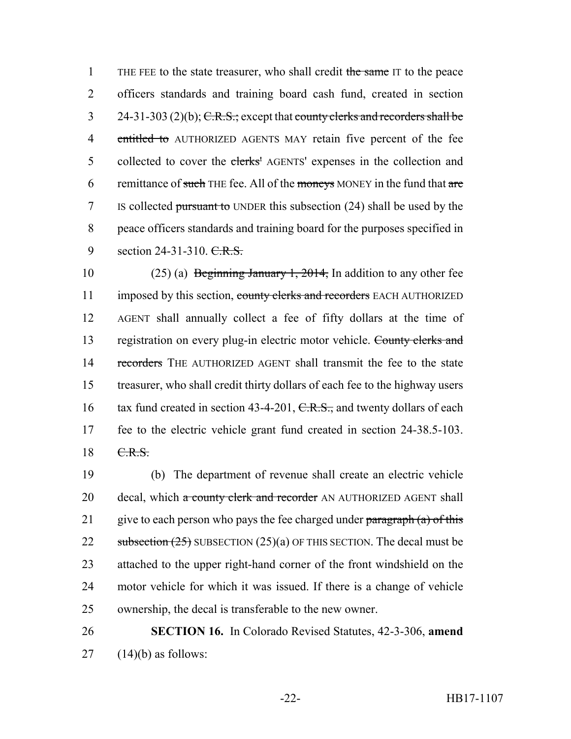1 THE FEE to the state treasurer, who shall credit the same IT to the peace 2 officers standards and training board cash fund, created in section 3 24-31-303 (2)(b);  $C.R.S.:$  except that county clerks and recorders shall be 4 entitled to AUTHORIZED AGENTS MAY retain five percent of the fee 5 collected to cover the elerks' AGENTS' expenses in the collection and 6 remittance of such THE fee. All of the moneys MONEY in the fund that  $are$ 7 IS collected pursuant to UNDER this subsection (24) shall be used by the 8 peace officers standards and training board for the purposes specified in 9 section 24-31-310. C.R.S.

10 (25) (a) Beginning January 1, 2014, In addition to any other fee 11 imposed by this section, county clerks and recorders EACH AUTHORIZED 12 AGENT shall annually collect a fee of fifty dollars at the time of 13 registration on every plug-in electric motor vehicle. County clerks and 14 recorders THE AUTHORIZED AGENT shall transmit the fee to the state 15 treasurer, who shall credit thirty dollars of each fee to the highway users 16 tax fund created in section 43-4-201, C.R.S., and twenty dollars of each 17 fee to the electric vehicle grant fund created in section 24-38.5-103. 18 C.R.S.

19 (b) The department of revenue shall create an electric vehicle 20 decal, which a county clerk and recorder AN AUTHORIZED AGENT shall 21 give to each person who pays the fee charged under  $\frac{\partial^2 u}{\partial x^2}$  paragraph (a) of this 22 subsection  $(25)$  SUBSECTION  $(25)(a)$  OF THIS SECTION. The decal must be 23 attached to the upper right-hand corner of the front windshield on the 24 motor vehicle for which it was issued. If there is a change of vehicle 25 ownership, the decal is transferable to the new owner.

# 26 **SECTION 16.** In Colorado Revised Statutes, 42-3-306, **amend**  $27$  (14)(b) as follows: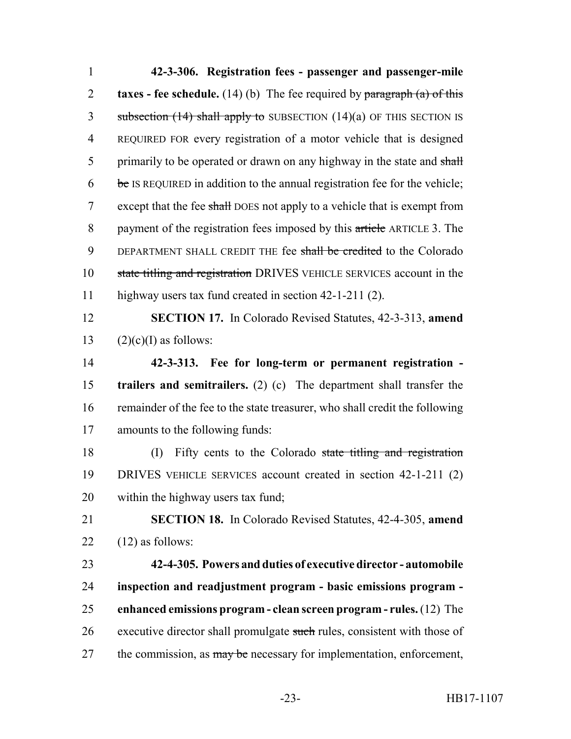| $\mathbf{1}$   | 42-3-306. Registration fees - passenger and passenger-mile                   |
|----------------|------------------------------------------------------------------------------|
| $\overline{2}$ | taxes - fee schedule. $(14)$ (b) The fee required by paragraph $(a)$ of this |
| 3              | subsection $(14)$ shall apply to SUBSECTION $(14)(a)$ OF THIS SECTION IS     |
| $\overline{4}$ | REQUIRED FOR every registration of a motor vehicle that is designed          |
| 5              | primarily to be operated or drawn on any highway in the state and shall      |
| 6              | be IS REQUIRED in addition to the annual registration fee for the vehicle;   |
| $\tau$         | except that the fee shall DOES not apply to a vehicle that is exempt from    |
| $8\,$          | payment of the registration fees imposed by this article ARTICLE 3. The      |
| 9              | DEPARTMENT SHALL CREDIT THE fee shall be credited to the Colorado            |
| 10             | state titling and registration DRIVES VEHICLE SERVICES account in the        |
| 11             | highway users tax fund created in section 42-1-211 (2).                      |
| 12             | <b>SECTION 17.</b> In Colorado Revised Statutes, 42-3-313, amend             |
| 13             | $(2)(c)(I)$ as follows:                                                      |
| 14             | 42-3-313. Fee for long-term or permanent registration -                      |
| 15             | trailers and semitrailers. (2) (c) The department shall transfer the         |
| 16             | remainder of the fee to the state treasurer, who shall credit the following  |
| 17             | amounts to the following funds:                                              |
| 18             | Fifty cents to the Colorado state titling and registration<br>(I)            |
| 19             | DRIVES VEHICLE SERVICES account created in section 42-1-211 (2)              |
| 20             | within the highway users tax fund;                                           |
| 21             | <b>SECTION 18.</b> In Colorado Revised Statutes, 42-4-305, amend             |
| 22             | $(12)$ as follows:                                                           |
| 23             | 42-4-305. Powers and duties of executive director - automobile               |
| 24             | inspection and readjustment program - basic emissions program -              |
| 25             | enhanced emissions program - clean screen program - rules. (12) The          |
| 26             | executive director shall promulgate such rules, consistent with those of     |
| 27             | the commission, as may be necessary for implementation, enforcement,         |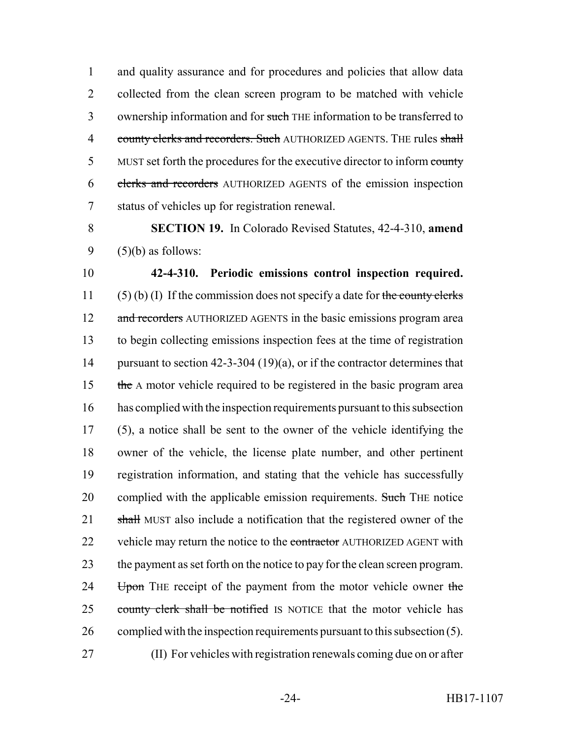1 and quality assurance and for procedures and policies that allow data 2 collected from the clean screen program to be matched with vehicle 3 ownership information and for such THE information to be transferred to 4 county clerks and recorders. Such AUTHORIZED AGENTS. THE rules shall 5 MUST set forth the procedures for the executive director to inform county 6 clerks and recorders AUTHORIZED AGENTS of the emission inspection 7 status of vehicles up for registration renewal.

8 **SECTION 19.** In Colorado Revised Statutes, 42-4-310, **amend** 9  $(5)(b)$  as follows:

10 **42-4-310. Periodic emissions control inspection required.** 11 (5) (b) (I) If the commission does not specify a date for the county clerks 12 and recorders AUTHORIZED AGENTS in the basic emissions program area 13 to begin collecting emissions inspection fees at the time of registration 14 pursuant to section 42-3-304 (19)(a), or if the contractor determines that 15 the A motor vehicle required to be registered in the basic program area 16 has complied with the inspection requirements pursuant to this subsection 17 (5), a notice shall be sent to the owner of the vehicle identifying the 18 owner of the vehicle, the license plate number, and other pertinent 19 registration information, and stating that the vehicle has successfully 20 complied with the applicable emission requirements. Such THE notice 21 shall MUST also include a notification that the registered owner of the 22 vehicle may return the notice to the contractor AUTHORIZED AGENT with 23 the payment as set forth on the notice to pay for the clean screen program. 24 Upon THE receipt of the payment from the motor vehicle owner the 25 county clerk shall be notified IS NOTICE that the motor vehicle has 26 complied with the inspection requirements pursuant to this subsection (5). 27 (II) For vehicles with registration renewals coming due on or after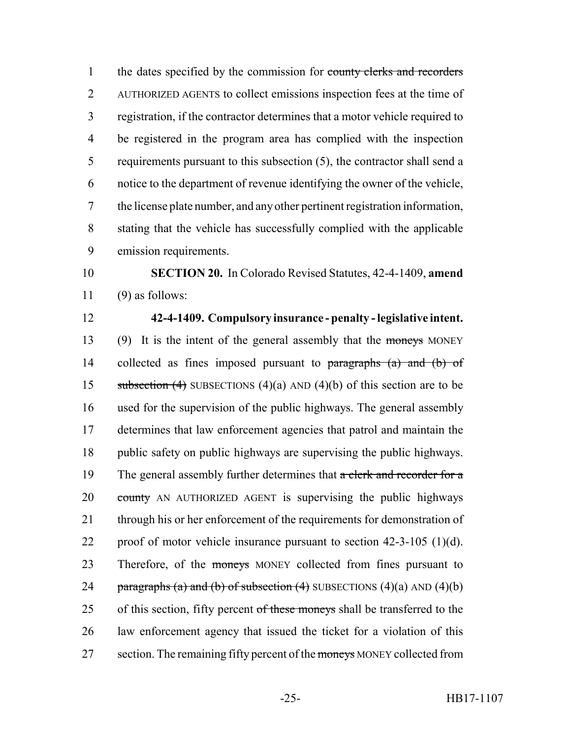1 the dates specified by the commission for county clerks and recorders AUTHORIZED AGENTS to collect emissions inspection fees at the time of registration, if the contractor determines that a motor vehicle required to be registered in the program area has complied with the inspection requirements pursuant to this subsection (5), the contractor shall send a notice to the department of revenue identifying the owner of the vehicle, the license plate number, and any other pertinent registration information, stating that the vehicle has successfully complied with the applicable emission requirements.

 **SECTION 20.** In Colorado Revised Statutes, 42-4-1409, **amend** (9) as follows:

## **42-4-1409. Compulsory insurance - penalty - legislative intent.**

 (9) It is the intent of the general assembly that the moneys MONEY 14 collected as fines imposed pursuant to paragraphs (a) and (b) of 15 subsection (4) SUBSECTIONS (4)(a) AND (4)(b) of this section are to be used for the supervision of the public highways. The general assembly determines that law enforcement agencies that patrol and maintain the public safety on public highways are supervising the public highways. 19 The general assembly further determines that a clerk and recorder for a 20 county AN AUTHORIZED AGENT is supervising the public highways 21 through his or her enforcement of the requirements for demonstration of proof of motor vehicle insurance pursuant to section 42-3-105 (1)(d). 23 Therefore, of the moneys MONEY collected from fines pursuant to 24 paragraphs (a) and (b) of subsection  $(4)$  SUBSECTIONS  $(4)(a)$  AND  $(4)(b)$ 25 of this section, fifty percent of these moneys shall be transferred to the law enforcement agency that issued the ticket for a violation of this 27 section. The remaining fifty percent of the moneys MONEY collected from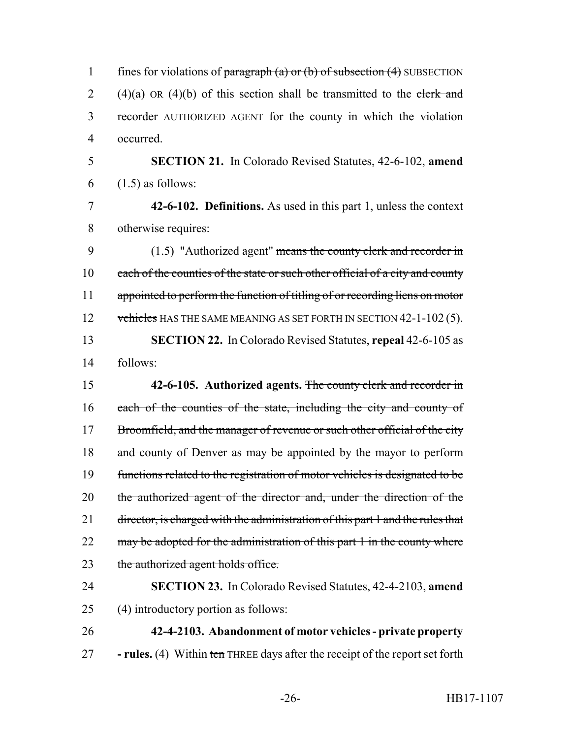| $\mathbf{1}$   | fines for violations of $\frac{\text{parameter}}{\text{mean}}$ (a) or (b) of subsection (4) SUBSECTION |
|----------------|--------------------------------------------------------------------------------------------------------|
| $\overline{2}$ | $(4)(a)$ OR $(4)(b)$ of this section shall be transmitted to the clerk and                             |
| 3              | recorder AUTHORIZED AGENT for the county in which the violation                                        |
| $\overline{4}$ | occurred.                                                                                              |
| 5              | <b>SECTION 21.</b> In Colorado Revised Statutes, 42-6-102, amend                                       |
| 6              | $(1.5)$ as follows:                                                                                    |
| $\tau$         | 42-6-102. Definitions. As used in this part 1, unless the context                                      |
| 8              | otherwise requires:                                                                                    |
| 9              | $(1.5)$ "Authorized agent" means the county clerk and recorder in                                      |
| 10             | each of the counties of the state or such other official of a city and county                          |
| 11             | appointed to perform the function of titling of or recording liens on motor                            |
| 12             | vehicles HAS THE SAME MEANING AS SET FORTH IN SECTION 42-1-102 (5).                                    |
| 13             | <b>SECTION 22.</b> In Colorado Revised Statutes, repeal 42-6-105 as                                    |
| 14             | follows:                                                                                               |
| 15             | 42-6-105. Authorized agents. The county clerk and recorder in                                          |
| 16             | each of the counties of the state, including the city and county of                                    |
| 17             | Broomfield, and the manager of revenue or such other official of the city                              |
| 18             | and county of Denver as may be appointed by the mayor to perform                                       |
| 19             | functions related to the registration of motor vehicles is designated to be                            |
| 20             | the authorized agent of the director and, under the direction of the                                   |
| 21             | director, is charged with the administration of this part 1 and the rules that                         |
| 22             |                                                                                                        |
|                | may be adopted for the administration of this part 1 in the county where                               |
| 23             | the authorized agent holds office.                                                                     |
| 24             | <b>SECTION 23.</b> In Colorado Revised Statutes, 42-4-2103, amend                                      |
| 25             | (4) introductory portion as follows:                                                                   |
| 26             | 42-4-2103. Abandonment of motor vehicles - private property                                            |
| 27             | - rules. (4) Within ten THREE days after the receipt of the report set forth                           |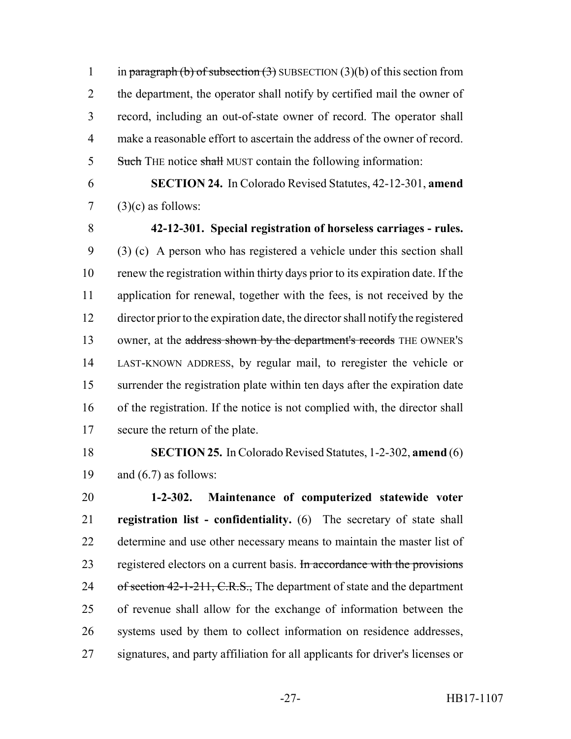1 in paragraph (b) of subsection  $(3)$  SUBSECTION  $(3)(b)$  of this section from 2 the department, the operator shall notify by certified mail the owner of record, including an out-of-state owner of record. The operator shall make a reasonable effort to ascertain the address of the owner of record. 5 Such THE notice shall MUST contain the following information:

 **SECTION 24.** In Colorado Revised Statutes, 42-12-301, **amend**  $7 \quad (3)(c)$  as follows:

 **42-12-301. Special registration of horseless carriages - rules.** (3) (c) A person who has registered a vehicle under this section shall renew the registration within thirty days prior to its expiration date. If the application for renewal, together with the fees, is not received by the director prior to the expiration date, the director shall notify the registered 13 owner, at the address shown by the department's records THE OWNER'S LAST-KNOWN ADDRESS, by regular mail, to reregister the vehicle or surrender the registration plate within ten days after the expiration date of the registration. If the notice is not complied with, the director shall secure the return of the plate.

 **SECTION 25.** In Colorado Revised Statutes, 1-2-302, **amend** (6) 19 and  $(6.7)$  as follows:

 **1-2-302. Maintenance of computerized statewide voter registration list - confidentiality.** (6) The secretary of state shall determine and use other necessary means to maintain the master list of 23 registered electors on a current basis. In accordance with the provisions 24 of section 42-1-211, C.R.S., The department of state and the department of revenue shall allow for the exchange of information between the systems used by them to collect information on residence addresses, signatures, and party affiliation for all applicants for driver's licenses or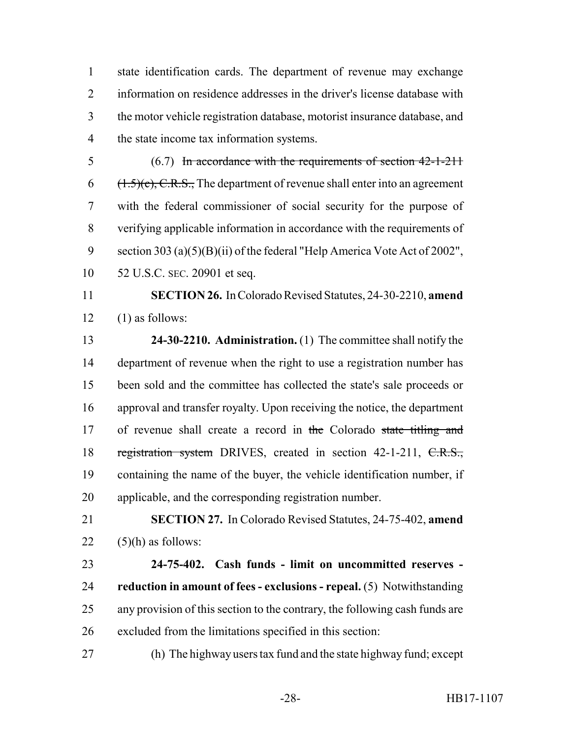state identification cards. The department of revenue may exchange information on residence addresses in the driver's license database with the motor vehicle registration database, motorist insurance database, and the state income tax information systems.

 (6.7) In accordance with the requirements of section 42-1-211 (1.5)(c), C.R.S., The department of revenue shall enter into an agreement with the federal commissioner of social security for the purpose of verifying applicable information in accordance with the requirements of section 303 (a)(5)(B)(ii) of the federal "Help America Vote Act of 2002", 52 U.S.C. SEC. 20901 et seq.

 **SECTION 26.** In Colorado Revised Statutes, 24-30-2210, **amend**  $12 \quad (1)$  as follows:

 **24-30-2210. Administration.** (1) The committee shall notify the department of revenue when the right to use a registration number has been sold and the committee has collected the state's sale proceeds or approval and transfer royalty. Upon receiving the notice, the department 17 of revenue shall create a record in the Colorado state titling and 18 registration system DRIVES, created in section 42-1-211, C.R.S., containing the name of the buyer, the vehicle identification number, if applicable, and the corresponding registration number.

 **SECTION 27.** In Colorado Revised Statutes, 24-75-402, **amend** 22  $(5)(h)$  as follows:

 **24-75-402. Cash funds - limit on uncommitted reserves - reduction in amount of fees - exclusions - repeal.** (5) Notwithstanding any provision of this section to the contrary, the following cash funds are excluded from the limitations specified in this section:

(h) The highway users tax fund and the state highway fund; except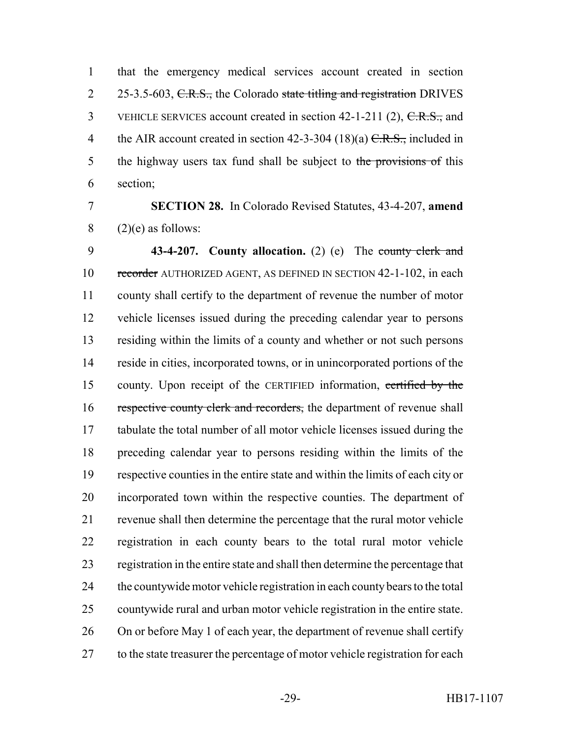that the emergency medical services account created in section 2 25-3.5-603, C.R.S., the Colorado state titling and registration DRIVES 3 VEHICLE SERVICES account created in section 42-1-211 (2), C.R.S., and 4 the AIR account created in section  $42-3-304$  (18)(a)  $C.R.S.,$  included in 5 the highway users tax fund shall be subject to the provisions of this section;

## **SECTION 28.** In Colorado Revised Statutes, 43-4-207, **amend** (2)(e) as follows:

 **43-4-207. County allocation.** (2) (e) The county clerk and 10 recorder AUTHORIZED AGENT, AS DEFINED IN SECTION 42-1-102, in each county shall certify to the department of revenue the number of motor vehicle licenses issued during the preceding calendar year to persons residing within the limits of a county and whether or not such persons reside in cities, incorporated towns, or in unincorporated portions of the county. Upon receipt of the CERTIFIED information, certified by the 16 respective county clerk and recorders, the department of revenue shall tabulate the total number of all motor vehicle licenses issued during the preceding calendar year to persons residing within the limits of the respective counties in the entire state and within the limits of each city or incorporated town within the respective counties. The department of revenue shall then determine the percentage that the rural motor vehicle registration in each county bears to the total rural motor vehicle registration in the entire state and shall then determine the percentage that the countywide motor vehicle registration in each county bears to the total countywide rural and urban motor vehicle registration in the entire state. On or before May 1 of each year, the department of revenue shall certify 27 to the state treasurer the percentage of motor vehicle registration for each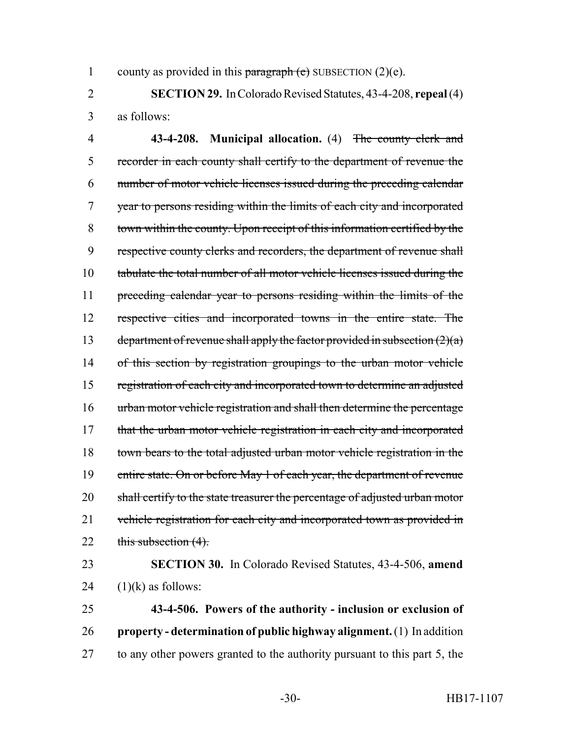1 county as provided in this paragraph (e) SUBSECTION  $(2)(e)$ .

2 **SECTION 29.** In Colorado Revised Statutes, 43-4-208, **repeal** (4) 3 as follows:

4 **43-4-208. Municipal allocation.** (4) The county clerk and 5 recorder in each county shall certify to the department of revenue the 6 number of motor vehicle licenses issued during the preceding calendar 7 year to persons residing within the limits of each city and incorporated 8 town within the county. Upon receipt of this information certified by the 9 respective county clerks and recorders, the department of revenue shall 10 tabulate the total number of all motor vehicle licenses issued during the 11 preceding calendar year to persons residing within the limits of the 12 respective cities and incorporated towns in the entire state. The 13 department of revenue shall apply the factor provided in subsection  $(2)(a)$ 14 of this section by registration groupings to the urban motor vehicle 15 registration of each city and incorporated town to determine an adjusted 16 urban motor vehicle registration and shall then determine the percentage 17 that the urban motor vehicle registration in each city and incorporated 18 town bears to the total adjusted urban motor vehicle registration in the 19 entire state. On or before May 1 of each year, the department of revenue 20 shall certify to the state treasurer the percentage of adjusted urban motor 21 vehicle registration for each city and incorporated town as provided in 22 this subsection  $(4)$ .

23 **SECTION 30.** In Colorado Revised Statutes, 43-4-506, **amend** 24  $(1)(k)$  as follows:

25 **43-4-506. Powers of the authority - inclusion or exclusion of** 26 **property - determination of public highway alignment.** (1) In addition 27 to any other powers granted to the authority pursuant to this part 5, the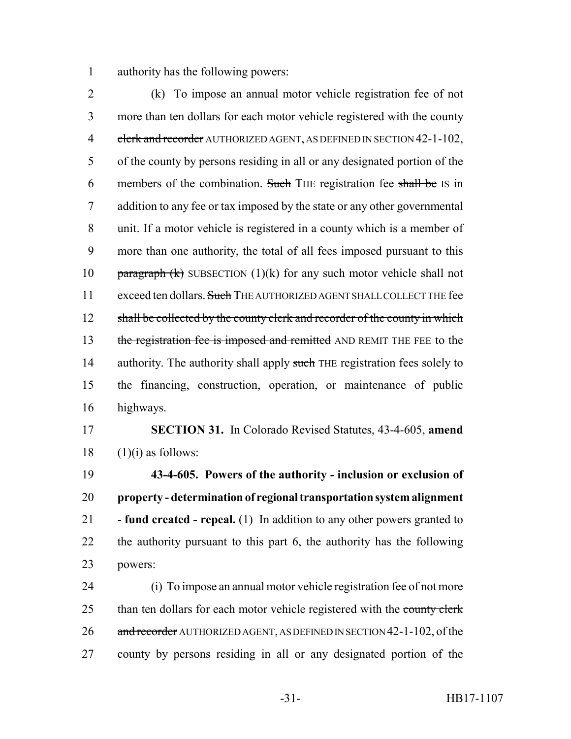authority has the following powers:

 (k) To impose an annual motor vehicle registration fee of not 3 more than ten dollars for each motor vehicle registered with the county 4 clerk and recorder AUTHORIZED AGENT, AS DEFINED IN SECTION 42-1-102, of the county by persons residing in all or any designated portion of the 6 members of the combination. Such THE registration fee shall be IS in addition to any fee or tax imposed by the state or any other governmental unit. If a motor vehicle is registered in a county which is a member of more than one authority, the total of all fees imposed pursuant to this 10 paragraph  $(k)$  SUBSECTION  $(1)(k)$  for any such motor vehicle shall not 11 exceed ten dollars. Such THE AUTHORIZED AGENT SHALL COLLECT THE fee 12 shall be collected by the county clerk and recorder of the county in which 13 the registration fee is imposed and remitted AND REMIT THE FEE to the 14 authority. The authority shall apply such THE registration fees solely to the financing, construction, operation, or maintenance of public highways.

 **SECTION 31.** In Colorado Revised Statutes, 43-4-605, **amend** (1)(i) as follows:

 **43-4-605. Powers of the authority - inclusion or exclusion of property - determination of regional transportation system alignment - fund created - repeal.** (1) In addition to any other powers granted to the authority pursuant to this part 6, the authority has the following powers:

 (i) To impose an annual motor vehicle registration fee of not more 25 than ten dollars for each motor vehicle registered with the county clerk 26 and recorder AUTHORIZED AGENT, AS DEFINED IN SECTION 42-1-102, of the county by persons residing in all or any designated portion of the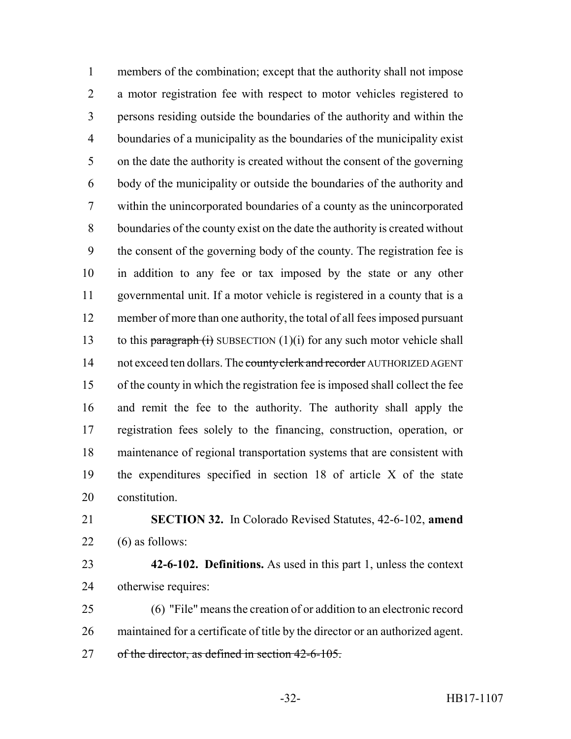members of the combination; except that the authority shall not impose a motor registration fee with respect to motor vehicles registered to persons residing outside the boundaries of the authority and within the boundaries of a municipality as the boundaries of the municipality exist on the date the authority is created without the consent of the governing body of the municipality or outside the boundaries of the authority and within the unincorporated boundaries of a county as the unincorporated boundaries of the county exist on the date the authority is created without the consent of the governing body of the county. The registration fee is in addition to any fee or tax imposed by the state or any other governmental unit. If a motor vehicle is registered in a county that is a member of more than one authority, the total of all fees imposed pursuant 13 to this paragraph  $(i)$  SUBSECTION  $(1)(i)$  for any such motor vehicle shall 14 not exceed ten dollars. The county clerk and recorder AUTHORIZED AGENT of the county in which the registration fee is imposed shall collect the fee and remit the fee to the authority. The authority shall apply the registration fees solely to the financing, construction, operation, or maintenance of regional transportation systems that are consistent with the expenditures specified in section 18 of article X of the state constitution.

 **SECTION 32.** In Colorado Revised Statutes, 42-6-102, **amend** (6) as follows:

 **42-6-102. Definitions.** As used in this part 1, unless the context otherwise requires:

 (6) "File" means the creation of or addition to an electronic record maintained for a certificate of title by the director or an authorized agent. of the director, as defined in section 42-6-105.